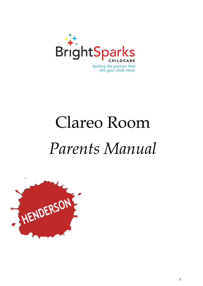

# Clareo Room *Parents Manual*

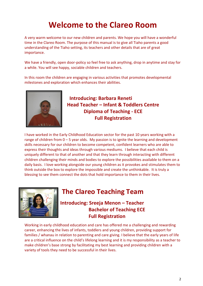## **Welcome to the Clareo Room**

A very warm welcome to our new children and parents. We hope you will have a wonderful time in the Clareo Room. The purpose of this manual is to give all Tiaho parents a good understanding of the Tiaho setting, its teachers and other details that are of great importance.

We have a friendly, open door-policy so feel free to ask anything, drop in anytime and stay for a while. You will see happy, sociable children and teachers.

In this room the children are engaging in various activities that promotes developmental milestones and exploration which enhances their abilities.



**Introducing: Barbara Reneti Head Teacher – Infant & Toddlers Centre Diploma of Teaching - ECE Full Registration**

I have worked in the Early Childhood Education sector for the past 10 years working with a range of children from  $0 - 5$  year olds. My passion is to ignite the learning and development skills necessary for our children to become competent, confident learners who are able to express their thoughts and ideas through various mediums. I believe that each child is uniquely different to that of another and that they learn through interacting with different children challenging their minds and bodies to explore the possibilities available to them on a daily basis. I love working alongside our young children as it provokes and stimulates them to think outside the box to explore the impossible and create the unthinkable. It is truly a blessing to see them connect the dots that hold importance to them in their lives.



### **The Clareo Teaching Team**

**Introducing: Sreeja Menon – Teacher Bachelor of Teaching ECE Full Registration**

Working in early childhood education and care has offered me a challenging and rewarding career, enhancing the lives of infants, toddlers and young children, providing support for families / whanau in relation to parenting and care giving. I believe that the early years of life are a critical influence on the child's lifelong learning and it is my responsibility as a teacher to make children's base strong by facilitating my best learning and providing children with a variety of tools they need to be successful in their lives.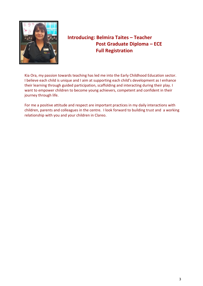

### **Introducing: Belmira Taites – Teacher Post Graduate Diploma – ECE Full Registration**

Kia Ora, my passion towards teaching has led me into the Early Childhood Education sector. I believe each child is unique and I aim at supporting each child's development as I enhance their learning through guided participation, scaffolding and interacting during their play. I want to empower children to become young achievers, competent and confident in their journey through life.

For me a positive attitude and respect are important practices in my daily interactions with children, parents and colleagues in the centre. I look forward to building trust and a working relationship with you and your children in Clareo.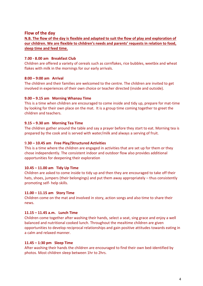#### **Flow of the day**

**N.B. The flow of the day is flexible and adapted to suit the flow of play and exploration of our children. We are flexible to children's needs and parents' requests in relation to food, sleep time and feed time.**

#### **7.00 - 8.00 am Breakfast Club**

Children are offered a variety of cereals such as cornflakes, rice bubbles, weetbix and wheat flakes with milk in the mornings for our early arrivals.

#### **8:00 – 9:00 am Arrival**

The children and their families are welcomed to the centre. The children are invited to get involved in experiences of their own choice or teacher directed (inside and outside).

#### **9.00 – 9.15 am Morning Whanau Time**

This is a time when children are encouraged to come inside and tidy up, prepare for mat-time by looking for their own place on the mat. It is a group time coming together to greet the children and teachers.

#### **9.15 – 9.30 am Morning Tea Time**

The children gather around the table and say a prayer before they start to eat. Morning tea is prepared by the cook and is served with water/milk and always a serving of fruit.

#### 9.**30 – 10.45 am Free Play/Structured Activities**

This is a time where the children are engaged in activities that are set up for them or they chose independently. The consistent indoor and outdoor flow also provides additional opportunities for deepening their exploration

#### **10.45 – 11.00 am Tidy Up Time**

Children are asked to come inside to tidy up and then they are encouraged to take off their hats, shoes, jumpers (their belongings) and put them away appropriately – thus consistently promoting self- help skills.

#### **11.00 – 11.15 am Story Time**

Children come on the mat and involved in story, action songs and also time to share their news.

#### **11.15 – 11.45 a.m. Lunch Time**

Children come together after washing their hands, select a seat, sing grace and enjoy a well balanced and nutritional cooked lunch. Throughout the mealtime children are given opportunities to develop reciprocal relationships and gain positive attitudes towards eating in a calm and relaxed manner.

#### **11.45 – 1:30 pm Sleep Time**

After washing their hands the children are encouraged to find their own bed-identified by photos. Most children sleep between 1hr to 2hrs.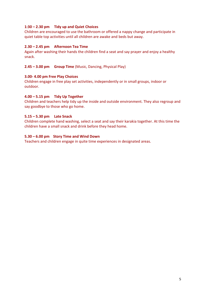#### **1:30 – 2.30 pm Tidy up and Quiet Choices**

Children are encouraged to use the bathroom or offered a nappy change and participate in quiet table top activities until all children are awake and beds but away.

#### **2.30 – 2.45 pm Afternoon Tea Time**

Again after washing their hands the children find a seat and say prayer and enjoy a healthy snack.

**2.45 – 3.00 pm Group Time** (Music, Dancing, Physical Play)

#### **3.00- 4.00 pm Free Play Choices**

Children engage in free play set activities, independently or in small groups, indoor or outdoor.

#### **4.00 – 5.15 pm Tidy Up Together**

Children and teachers help tidy up the inside and outside environment. They also regroup and say goodbye to those who go home.

#### **5.15 – 5.30 pm Late Snack**

Children complete hand washing, select a seat and say their karakia together. At this time the children have a small snack and drink before they head home.

#### **5.30 – 6.00 pm Story Time and Wind Down**

Teachers and children engage in quite time experiences in designated areas.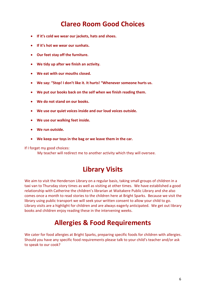### **Clareo Room Good Choices**

- **If it's cold we wear our jackets, hats and shoes.**
- **If it's hot we wear our sunhats.**
- **Our feet stay off the furniture.**
- **We tidy up after we finish an activity.**
- **We eat with our mouths closed.**
- **We say: "Stop! I don't like it. It hurts! "Whenever someone hurts us.**
- **We put our books back on the self when we finish reading them.**
- **We do not stand on our books.**
- **We use our quiet voices inside and our loud voices outside.**
- **We use our walking feet inside.**
- **We run outside.**
- **We keep our toys in the bag or we leave them in the car.**

If I forget my good choices:

My teacher will redirect me to another activity which they will oversee.

### **Library Visits**

We aim to visit the Henderson Library on a regular basis, taking small groups of children in a taxi van to Thursday story times as well as visiting at other times. We have established a good relationship with Catherine the children's librarian at Waitakere Public Library and she also comes once a month to read stories to the children here at Bright Sparks. Because we visit the library using public transport we will seek your written consent to allow your child to go. Library visits are a highlight for children and are always eagerly anticipated. We get out library books and children enjoy reading these in the intervening weeks.

### **Allergies & Food Requirements**

We cater for food allergies at Bright Sparks, preparing specific foods for children with allergies. Should you have any specific food requirements please talk to your child's teacher and/or ask to speak to our cook?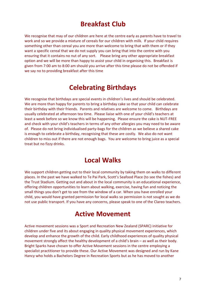### **Breakfast Club**

We recognise that may of our children are here at the centre early as parents have to travel to work and so we provide a mixture of cereals for our children with milk. If your child requires something other than cereal you are more than welcome to bring that with them or if they want a specific cereal that we do not supply you can bring that into the centre with you ensuring that it contains no nut of any sort. Please bring any other appropriate breakfast option and we will be more than happy to assist your child in organising this. Breakfast is given from 7:00 am to 8:00 am should you arrive after this time please do not be offended if we say no to providing breakfast after this time

### **Celebrating Birthdays**

We recognise that birthdays are special events in children's lives and should be celebrated. We are more than happy for parents to bring a birthday cake so that your child can celebrate their birthday with their friends. Parents and relatives are welcome to come. Birthdays are usually celebrated at afternoon tea time. Please liaise with one of your child's teachers at least a week before so we know this will be happening. Please ensure the cake is NUT-FREE and check with your child's teachers in terms of any other allergies you may need to be aware of. Please do not bring individualised party-bags for the children as we believe a shared cake is enough to celebrate a birthday, recognising that these are costly. We also do not want children to miss out if there are not enough bags. You are welcome to bring juice as a special treat but no fizzy drinks.

### **Local Walks**

We support children getting out to their local community by taking them on walks to different places. In the past we have walked to Te Pai Park, Scott's Seafood Place (to see the fishes) and the Trust Stadium. Getting out and about in the local community is an educational experience, offering children opportunities to learn about walking, exercise, having fun and noticing the small things you don't get to see from the window of a car. When you have enrolled your child, you would have granted permission for local walks so permission is not sought as we do not use public transport. If you have any concerns, please speak to one of the Clareo teachers.

### **Active Movement**

Active movement sessions was a Sport and Recreation New Zealand (SPARC) initiative for children under five and its about engaging in quality physical movement experiences, which develop and enhance the growth of the child. Early childhood experiences of quality physical movement strongly affect the healthy development of a child's brain – as well as their body. Bright Sparks have chosen to offer Active Movement sessions in the centre employing a specialist practitioner to provide these. Our Active Movement was designed and run by Kane Hancy who holds a Bachelors Degree in Recreation Sports but as he has moved to another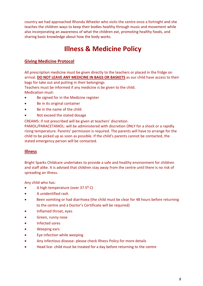country we had approached Rhonda Wheeler who visits the centre once a fortnight and she teaches the children ways to keep their bodies healthy through music and movement while also incorporating an awareness of what the children eat, promoting healthy foods, and sharing basic knowledge about how the body works.

### **Illness & Medicine Policy**

#### **Giving Medicine Protocol**

All prescription medicine must be given directly to the teachers or placed in the fridge on arrival. **DO NOT LEAVE ANY MEDICINE IN BAGS OR BASKETS** as our child have access to their bags for take out and putting in their belongings

Teachers must be informed if any medicine is be given to the child.

Medication must:

- Be signed for in the Medicine register
- Be in its original container
- Be in the name of the child
- Not exceed the stated dosage

CREAMS: if not prescribed will be given at teachers' discretion.

PAMOL/PARACETAMOL: will be administered with discretion ONLY for a shock or a rapidly rising temperature. Parents' permission is required. The parents will have to arrange for the child to be picked up as soon as possible. If the child's parents cannot be contacted, the stated emergency person will be contacted.

#### **Illness**

Bright Sparks Childcare undertakes to provide a safe and healthy environment for children and staff alike. It is advised that children stay away from the centre until there is no risk of spreading an illness.

Any child who has:

- A high temperature (over 37.5<sup>o</sup> C)
- A unidentified rash
- Been vomiting or had diarrhoea (the child must be clear for 48 hours before returning to the centre and a Doctor's Certificate will be required)
- Inflamed throat, eyes
- **•** Green, runny nose
- **•** Infected sores
- Weeping ears
- Eye infection while weeping
- Any infectious disease- please check Illness Policy for more details
- Head lice- child must be treated for a day before returning to the centre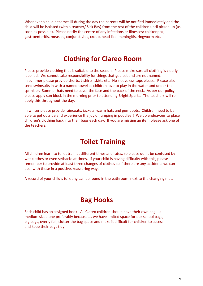Whenever a child becomes ill during the day the parents will be notified immediately and the child will be isolated (with a teacher/ Sick Bay) from the rest of the children until picked up (as soon as possible). Please notify the centre of any infections or illnesses: chickenpox, gastroenteritis, measles, conjunctivitis, croup, head lice, meningitis, ringworm etc.

### **Clothing for Clareo Room**

Please provide clothing that is suitable to the season. Please make sure all clothing is clearly labelled. We cannot take responsibility for things that get lost and are not named. In summer please provide shorts, t-shirts, skirts etc. No sleeveless tops please. Please also send swimsuits in with a named towel as children love to play in the water and under the sprinkler. Summer hats need to cover the face and the back of the neck. As per our policy, please apply sun block in the morning prior to attending Bright Sparks. The teachers will reapply this throughout the day.

In winter please provide raincoats, jackets, warm hats and gumboots. Children need to be able to get outside and experience the joy of jumping in puddles!! We do endeavour to place children's clothing back into their bags each day. If you are missing an item please ask one of the teachers.

### **Toilet Training**

All children learn to toilet train at different times and rates, so please don't be confused by wet clothes or even setbacks at times. If your child is having difficulty with this, please remember to provide at least three changes of clothes so if there are any accidents we can deal with these in a positive, reassuring way.

A record of your child's toileting can be found in the bathroom, next to the changing mat.

### **Bag Hooks**

Each child has an assigned hook. All Clareo children should have their own bag  $-$  a medium sized one preferably because as we have limited space for our school bags, big bags, overly full, clutter the bag space and make it difficult for children to access and keep their bags tidy.